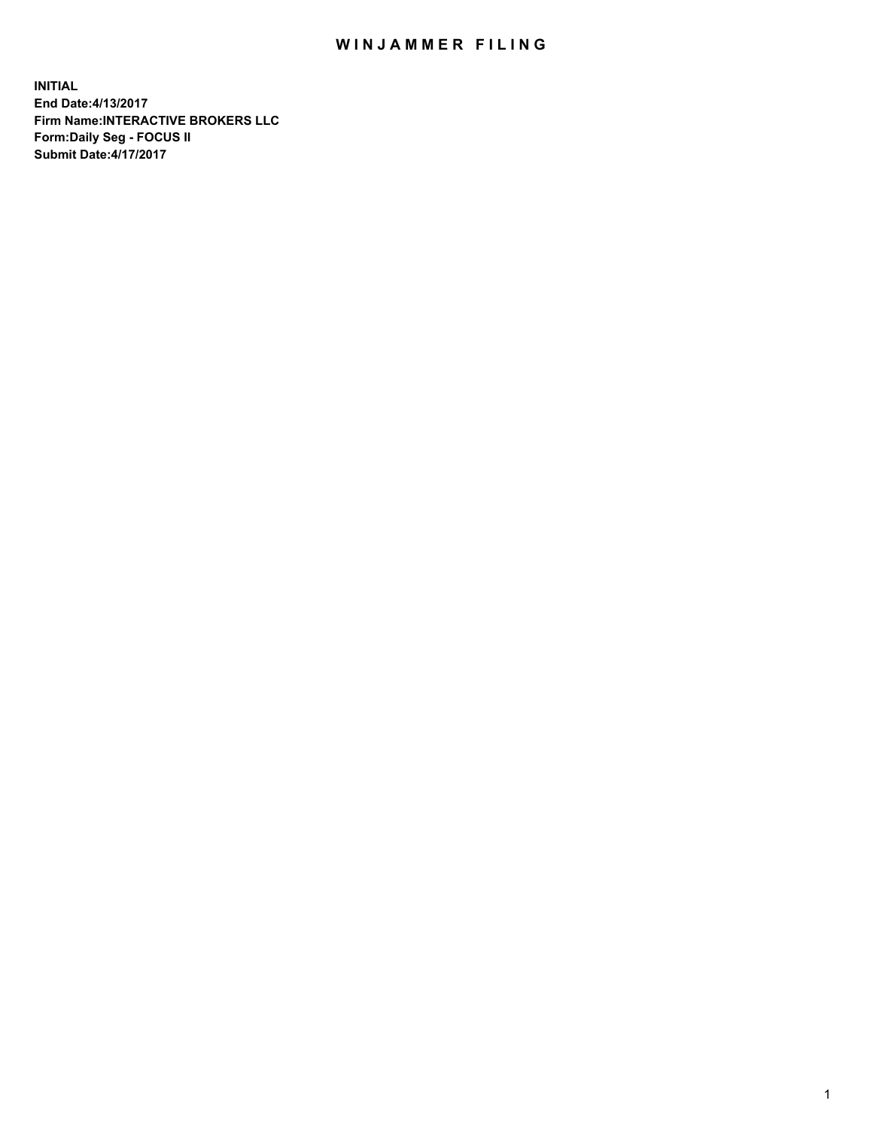## WIN JAMMER FILING

**INITIAL End Date:4/13/2017 Firm Name:INTERACTIVE BROKERS LLC Form:Daily Seg - FOCUS II Submit Date:4/17/2017**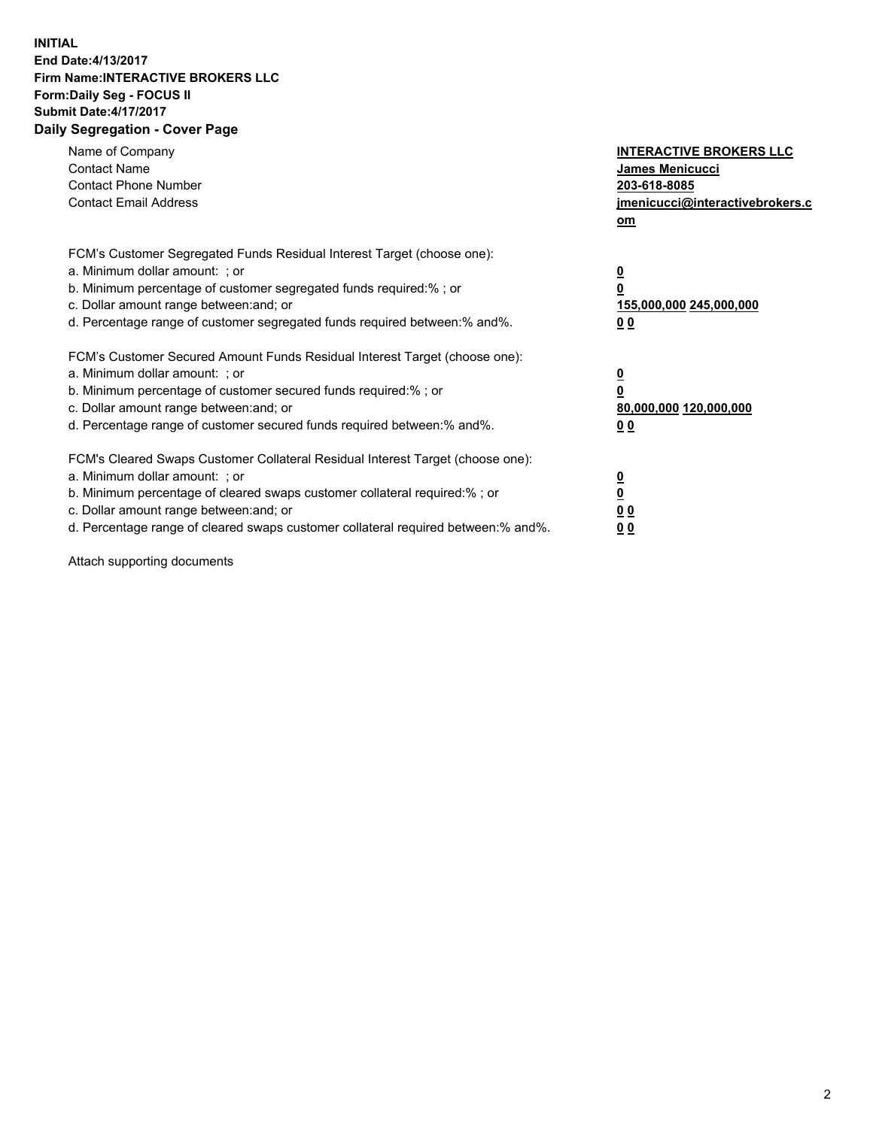## **INITIAL End Date:4/13/2017 Firm Name:INTERACTIVE BROKERS LLC Form:Daily Seg - FOCUS II Submit Date:4/17/2017 Daily Segregation - Cover Page**

| Name of Company<br><b>Contact Name</b><br><b>Contact Phone Number</b><br><b>Contact Email Address</b>                                                                                                                                                                                                                          | <b>INTERACTIVE BROKERS LLC</b><br><b>James Menicucci</b><br>203-618-8085<br>jmenicucci@interactivebrokers.c<br>om |
|--------------------------------------------------------------------------------------------------------------------------------------------------------------------------------------------------------------------------------------------------------------------------------------------------------------------------------|-------------------------------------------------------------------------------------------------------------------|
| FCM's Customer Segregated Funds Residual Interest Target (choose one):<br>a. Minimum dollar amount: ; or<br>b. Minimum percentage of customer segregated funds required:%; or<br>c. Dollar amount range between: and; or<br>d. Percentage range of customer segregated funds required between:% and%.                          | $\overline{\mathbf{0}}$<br>0<br>155,000,000 245,000,000<br>0 <sub>0</sub>                                         |
| FCM's Customer Secured Amount Funds Residual Interest Target (choose one):<br>a. Minimum dollar amount: ; or<br>b. Minimum percentage of customer secured funds required:%; or<br>c. Dollar amount range between: and; or<br>d. Percentage range of customer secured funds required between: % and %.                          | $\overline{\mathbf{0}}$<br>0<br>80,000,000 120,000,000<br>0 <sub>0</sub>                                          |
| FCM's Cleared Swaps Customer Collateral Residual Interest Target (choose one):<br>a. Minimum dollar amount: ; or<br>b. Minimum percentage of cleared swaps customer collateral required:% ; or<br>c. Dollar amount range between: and; or<br>d. Percentage range of cleared swaps customer collateral required between:% and%. | $\overline{\mathbf{0}}$<br>$\overline{\mathbf{0}}$<br>0 <sub>0</sub><br><u>00</u>                                 |

Attach supporting documents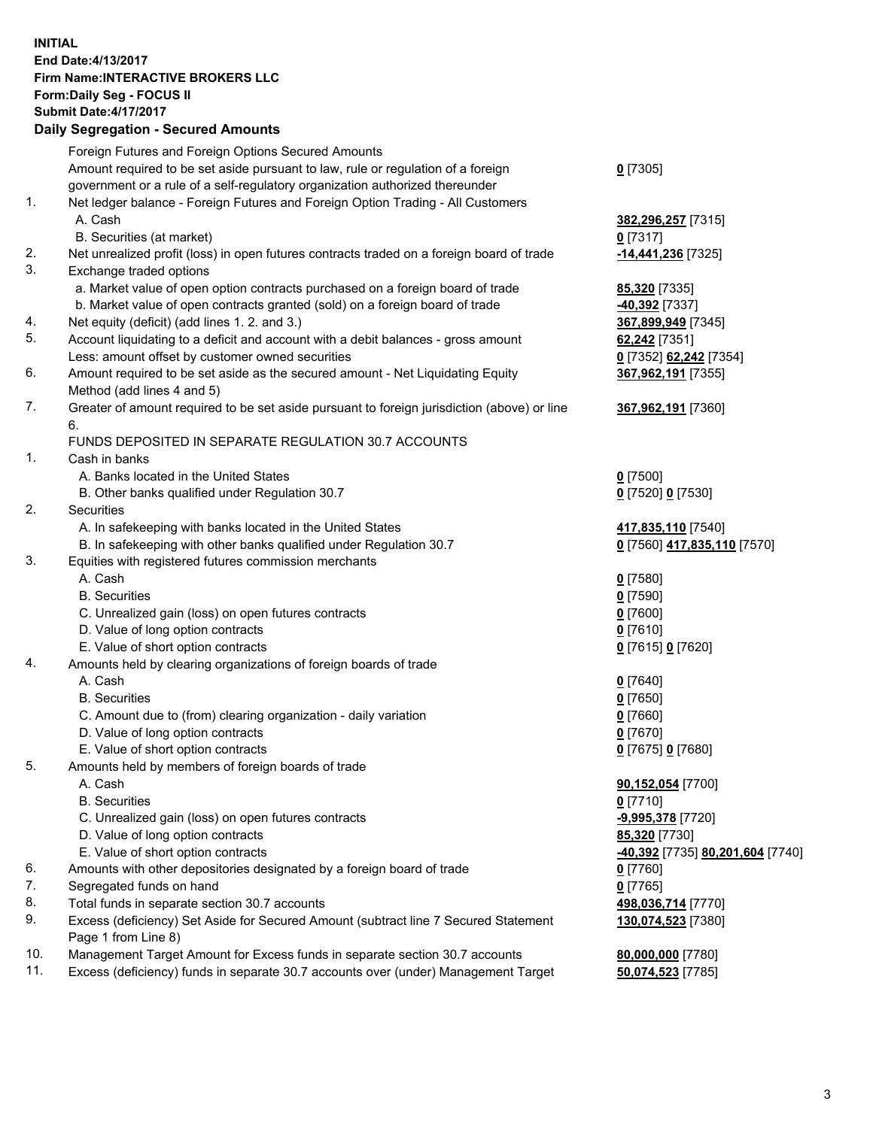## **INITIAL End Date:4/13/2017 Firm Name:INTERACTIVE BROKERS LLC Form:Daily Seg - FOCUS II Submit Date:4/17/2017 Daily Segregation - Secured Amounts**

|          | Dany Ocgregation - Oceanea Annoante                                                                                                  |                                  |
|----------|--------------------------------------------------------------------------------------------------------------------------------------|----------------------------------|
|          | Foreign Futures and Foreign Options Secured Amounts                                                                                  |                                  |
|          | Amount required to be set aside pursuant to law, rule or regulation of a foreign                                                     | $0$ [7305]                       |
|          | government or a rule of a self-regulatory organization authorized thereunder                                                         |                                  |
| 1.       | Net ledger balance - Foreign Futures and Foreign Option Trading - All Customers                                                      |                                  |
|          | A. Cash                                                                                                                              | 382,296,257 [7315]               |
|          | B. Securities (at market)                                                                                                            | $0$ [7317]                       |
| 2.       | Net unrealized profit (loss) in open futures contracts traded on a foreign board of trade                                            | -14,441,236 [7325]               |
| 3.       | Exchange traded options                                                                                                              |                                  |
|          | a. Market value of open option contracts purchased on a foreign board of trade                                                       | <b>85,320</b> [7335]             |
|          | b. Market value of open contracts granted (sold) on a foreign board of trade                                                         | $-40,392$ [7337]                 |
| 4.       | Net equity (deficit) (add lines 1.2. and 3.)                                                                                         | 367,899,949 [7345]               |
| 5.       | Account liquidating to a deficit and account with a debit balances - gross amount                                                    | 62,242 [7351]                    |
|          | Less: amount offset by customer owned securities                                                                                     | 0 [7352] 62,242 [7354]           |
| 6.       | Amount required to be set aside as the secured amount - Net Liquidating Equity                                                       | 367,962,191 [7355]               |
|          | Method (add lines 4 and 5)                                                                                                           |                                  |
| 7.       | Greater of amount required to be set aside pursuant to foreign jurisdiction (above) or line                                          | 367,962,191 [7360]               |
|          | 6.                                                                                                                                   |                                  |
|          | FUNDS DEPOSITED IN SEPARATE REGULATION 30.7 ACCOUNTS                                                                                 |                                  |
| 1.       | Cash in banks                                                                                                                        |                                  |
|          | A. Banks located in the United States                                                                                                | $0$ [7500]                       |
|          | B. Other banks qualified under Regulation 30.7                                                                                       | 0 [7520] 0 [7530]                |
| 2.       | <b>Securities</b>                                                                                                                    |                                  |
|          | A. In safekeeping with banks located in the United States                                                                            | 417,835,110 [7540]               |
|          | B. In safekeeping with other banks qualified under Regulation 30.7                                                                   | 0 [7560] 417,835,110 [7570]      |
| 3.       | Equities with registered futures commission merchants                                                                                |                                  |
|          | A. Cash                                                                                                                              | $0$ [7580]                       |
|          | <b>B.</b> Securities                                                                                                                 | $0$ [7590]                       |
|          | C. Unrealized gain (loss) on open futures contracts                                                                                  | $0$ [7600]                       |
|          | D. Value of long option contracts                                                                                                    | $0$ [7610]                       |
|          | E. Value of short option contracts                                                                                                   | 0 [7615] 0 [7620]                |
| 4.       | Amounts held by clearing organizations of foreign boards of trade                                                                    |                                  |
|          | A. Cash                                                                                                                              | $0$ [7640]                       |
|          | <b>B.</b> Securities                                                                                                                 | $0$ [7650]                       |
|          | C. Amount due to (from) clearing organization - daily variation                                                                      | $0$ [7660]                       |
|          | D. Value of long option contracts                                                                                                    | $0$ [7670]                       |
|          | E. Value of short option contracts                                                                                                   | 0 [7675] 0 [7680]                |
| 5.       | Amounts held by members of foreign boards of trade                                                                                   |                                  |
|          | A. Cash                                                                                                                              | 90,152,054 [7700]                |
|          | <b>B.</b> Securities                                                                                                                 | $0$ [7710]                       |
|          | C. Unrealized gain (loss) on open futures contracts                                                                                  | -9,995,378 [7720]                |
|          | D. Value of long option contracts<br>E. Value of short option contracts                                                              | 85,320 [7730]                    |
|          | Amounts with other depositories designated by a foreign board of trade                                                               | -40,392 [7735] 80,201,604 [7740] |
| 6.<br>7. |                                                                                                                                      | $0$ [7760]                       |
| 8.       | Segregated funds on hand                                                                                                             | $0$ [7765]                       |
| 9.       | Total funds in separate section 30.7 accounts<br>Excess (deficiency) Set Aside for Secured Amount (subtract line 7 Secured Statement | 498,036,714 [7770]               |
|          | Page 1 from Line 8)                                                                                                                  | 130,074,523 [7380]               |
| 10.      | Management Target Amount for Excess funds in separate section 30.7 accounts                                                          | 80,000,000 [7780]                |
| 11.      | Excess (deficiency) funds in separate 30.7 accounts over (under) Management Target                                                   | 50,074,523 [7785]                |
|          |                                                                                                                                      |                                  |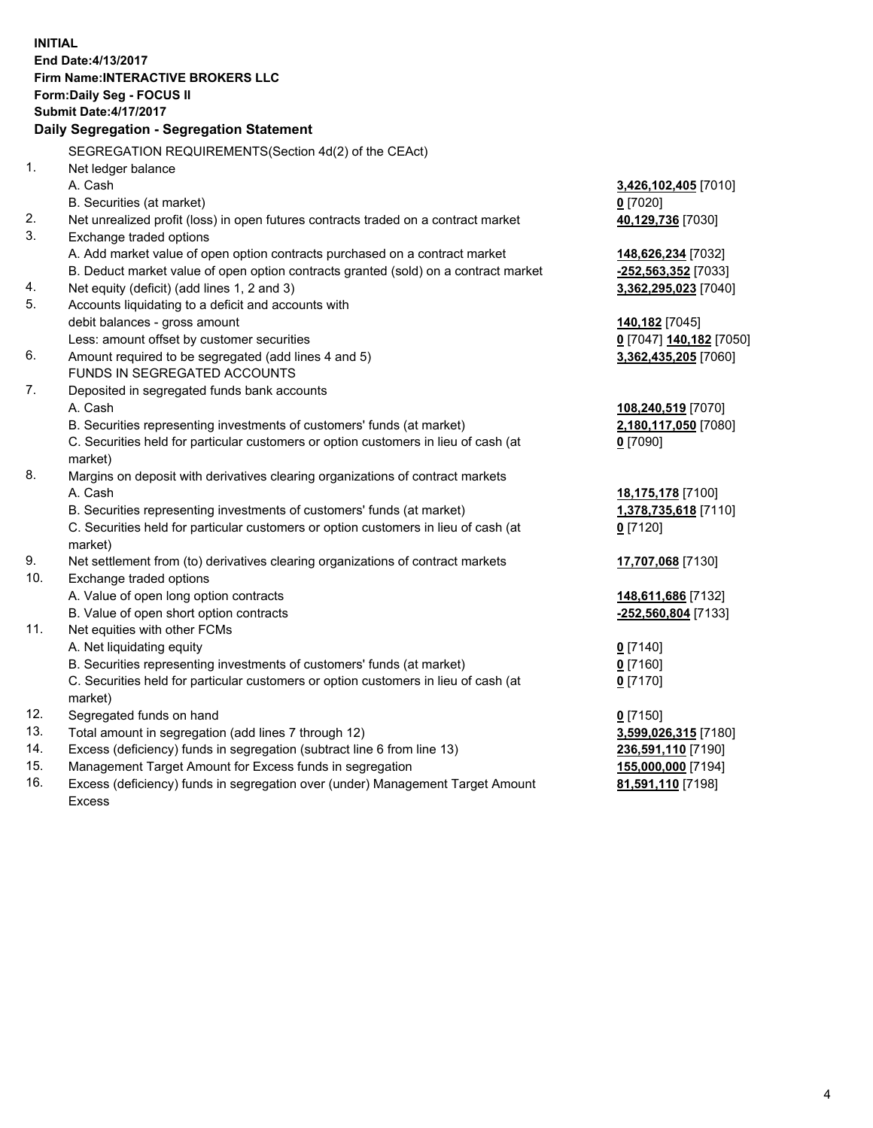**INITIAL End Date:4/13/2017 Firm Name:INTERACTIVE BROKERS LLC Form:Daily Seg - FOCUS II Submit Date:4/17/2017 Daily Segregation - Segregation Statement** SEGREGATION REQUIREMENTS(Section 4d(2) of the CEAct) 1. Net ledger balance A. Cash **3,426,102,405** [7010] B. Securities (at market) **0** [7020] 2. Net unrealized profit (loss) in open futures contracts traded on a contract market **40,129,736** [7030] 3. Exchange traded options A. Add market value of open option contracts purchased on a contract market **148,626,234** [7032] B. Deduct market value of open option contracts granted (sold) on a contract market **-252,563,352** [7033] 4. Net equity (deficit) (add lines 1, 2 and 3) **3,362,295,023** [7040] 5. Accounts liquidating to a deficit and accounts with debit balances - gross amount **140,182** [7045] Less: amount offset by customer securities **0** [7047] **140,182** [7050] 6. Amount required to be segregated (add lines 4 and 5) **3,362,435,205** [7060] FUNDS IN SEGREGATED ACCOUNTS 7. Deposited in segregated funds bank accounts A. Cash **108,240,519** [7070] B. Securities representing investments of customers' funds (at market) **2,180,117,050** [7080] C. Securities held for particular customers or option customers in lieu of cash (at market) **0** [7090] 8. Margins on deposit with derivatives clearing organizations of contract markets A. Cash **18,175,178** [7100] B. Securities representing investments of customers' funds (at market) **1,378,735,618** [7110] C. Securities held for particular customers or option customers in lieu of cash (at market) **0** [7120] 9. Net settlement from (to) derivatives clearing organizations of contract markets **17,707,068** [7130] 10. Exchange traded options A. Value of open long option contracts **148,611,686** [7132] B. Value of open short option contracts **-252,560,804** [7133] 11. Net equities with other FCMs A. Net liquidating equity **0** [7140] B. Securities representing investments of customers' funds (at market) **0** [7160] C. Securities held for particular customers or option customers in lieu of cash (at market) **0** [7170] 12. Segregated funds on hand **0** [7150] 13. Total amount in segregation (add lines 7 through 12) **3,599,026,315** [7180] 14. Excess (deficiency) funds in segregation (subtract line 6 from line 13) **236,591,110** [7190] 15. Management Target Amount for Excess funds in segregation **155,000,000** [7194] **81,591,110** [7198]

16. Excess (deficiency) funds in segregation over (under) Management Target Amount Excess